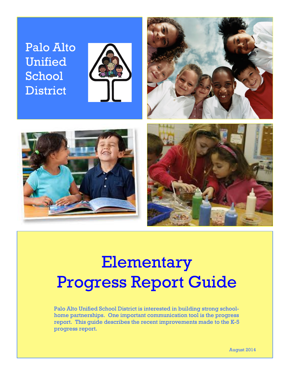## Palo Alto Unified School **District**







# Elementary Progress Report Guide

Palo Alto Unified School District is interested in building strong schoolhome partnerships. One important communication tool is the progress report. This guide describes the recent improvements made to the K-5 progress report.

August 2014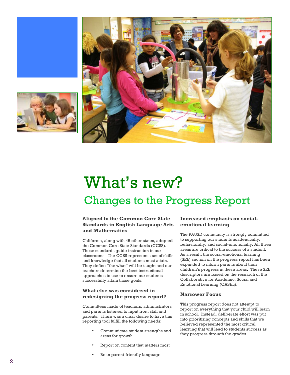





## What's new? Changes to the Progress Report

### **Aligned to the Common Core State Standards in English Language Arts and Mathematics**

California, along with 45 other states, adopted the Common Core State Standards (CCSS). These standards guide instruction in our classrooms. The CCSS represent a set of skills and knowledge that all students must attain. They define "the what" will be taught and our teachers determine the best instructional approaches to use to ensure our students successfully attain those goals.

### **What else was considered in redesigning the progress report?**

Committees made of teachers, administrators and parents listened to input from staff and parents. There was a clear desire to have this reporting tool fulfill the following needs:

- Communicate student strengths and areas for growth
- Report on content that matters most
- Be in parent-friendly language

### **Increased emphasis on social emotional learning**

The PAUSD community is strongly committed to supporting our students academically, behaviorally, and social -emotionally. All three areas are critical to the success of a student. As a result, the social -emotional learning (SEL) section on the progress report has been expanded to inform parents about their children's progress in these areas. These SEL descriptors are based on the research of the Collaborative for Academic, Social and Emotional Learning (CASEL).

### **Narrower Focus**

This progress report does not attempt to report on everything that your child will learn in school. Instead, deliberate effort was put into prioritizing concepts and skills that we believed represented the most critical learning that will lead to students success as they progress through the grades.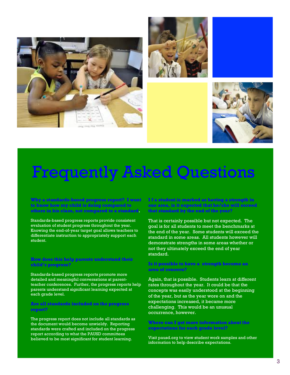





## Frequently Asked Questions

**Why a standards-based progress report? I want to know how my child is doing compared to others in his class, not compared to a standard.**

Standards-based progress reports provide consistent evaluation of student progress throughout the year. Knowing the end-of-year target goal allows teachers to differentiate instruction to appropriately support each student.

#### **How does this help parents understand their child's progress?**

Standards-based progress reports promote more detailed and meaningful conversations at parentteacher conferences. Further, the progress reports help parents understand significant learning expected at each grade level.

#### **Are all standards included on the progress report?**

The progress report does not include all standards as the document would become unwieldy. Reporting standards were crafted and included on the progress report according to what the PAUSD committees believed to be most significant for student learning.

**I f a student is marked as having a strength in one area, is it expected that he/she will exceed that standard by the end of the year?**

That is certainly possible but not expected. The goal is for all students to meet the benchmarks at the end of the year. Some students will exceed the standard in some areas. All students however will demonstrate strengths in some areas whether or not they ultimately exceed the end of year standard.

### **Is it possible to have a strength become an area of concern?**

Again, that is possible. Students learn at different rates throughout the year. It could be that the concepts was easily understood at the beginning of the year, but as the year wore on and the expectations increased, it became more challenging. This would be an unusual occurrence, however.

**Where can I get more information about the expectations for each grade level?** 

Visit pausd.org to view student work samples and other information to help describe expectations.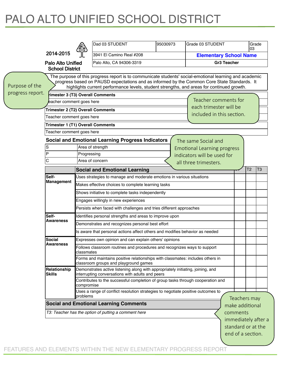## PALO ALTO UNIFIED SCHOOL DISTRICT

|                  |                                                                                |                                                                    | Dad 03 STUDENT                                                                                                                                                                                                                                                                                     | 95030973 | Grade 03 STUDENT                   |                                                                | 03             | Grade          |  |
|------------------|--------------------------------------------------------------------------------|--------------------------------------------------------------------|----------------------------------------------------------------------------------------------------------------------------------------------------------------------------------------------------------------------------------------------------------------------------------------------------|----------|------------------------------------|----------------------------------------------------------------|----------------|----------------|--|
|                  | 2014-2015                                                                      |                                                                    | 3941 El Camino Real #208                                                                                                                                                                                                                                                                           |          | <b>Elementary School Name</b>      |                                                                |                |                |  |
|                  | Palo Alto Unified                                                              |                                                                    | Palo Alto, CA 94306-3319                                                                                                                                                                                                                                                                           |          |                                    | <b>Gr3 Teacher</b>                                             |                |                |  |
|                  | <b>School District</b>                                                         |                                                                    |                                                                                                                                                                                                                                                                                                    |          |                                    |                                                                |                |                |  |
| Purpose of the   |                                                                                |                                                                    | The purpose of this progress report is to communicate students' social-emotional learning and academic<br>progress based on PAUSD expectations and as informed by the Common Core State Standards. It<br>highlights current performance levels, student strengths, and areas for continued growth. |          |                                    |                                                                |                |                |  |
| progress report. | rimester 3 (T3) Overall Comments                                               |                                                                    |                                                                                                                                                                                                                                                                                                    |          |                                    |                                                                |                |                |  |
|                  | eacher comment goes here                                                       |                                                                    | Teacher comments for                                                                                                                                                                                                                                                                               |          |                                    |                                                                |                |                |  |
|                  |                                                                                | each trimester will be<br>Trimester 2 (T2) Overall Comments        |                                                                                                                                                                                                                                                                                                    |          |                                    |                                                                |                |                |  |
|                  | Teacher comment goes here                                                      |                                                                    |                                                                                                                                                                                                                                                                                                    |          | included in this section.          |                                                                |                |                |  |
|                  | <b>Trimester 1 (T1) Overall Comments</b>                                       |                                                                    |                                                                                                                                                                                                                                                                                                    |          |                                    |                                                                |                |                |  |
|                  | Teacher comment goes here                                                      |                                                                    |                                                                                                                                                                                                                                                                                                    |          |                                    |                                                                |                |                |  |
|                  |                                                                                |                                                                    | <b>Social and Emotional Learning Progress Indicators</b>                                                                                                                                                                                                                                           |          | The same Social and                |                                                                |                |                |  |
|                  | S                                                                              |                                                                    | Area of strength                                                                                                                                                                                                                                                                                   |          | <b>Emotional Learning progress</b> |                                                                |                |                |  |
|                  | P                                                                              | Progressing                                                        |                                                                                                                                                                                                                                                                                                    |          | indicators will be used for        |                                                                |                |                |  |
|                  | C                                                                              |                                                                    | Area of concern                                                                                                                                                                                                                                                                                    |          | all three trimesters.              |                                                                |                |                |  |
|                  |                                                                                |                                                                    | <b>Social and Emotional Learning</b>                                                                                                                                                                                                                                                               |          |                                    |                                                                | T <sub>2</sub> | T <sub>3</sub> |  |
|                  | Self-<br>Uses strategies to manage and moderate emotions in various situations |                                                                    |                                                                                                                                                                                                                                                                                                    |          |                                    |                                                                |                |                |  |
|                  | Management                                                                     |                                                                    | Makes effective choices to complete learning tasks                                                                                                                                                                                                                                                 |          |                                    |                                                                |                |                |  |
|                  |                                                                                |                                                                    | Shows initiative to complete tasks independently                                                                                                                                                                                                                                                   |          |                                    |                                                                |                |                |  |
|                  |                                                                                |                                                                    | Engages willingly in new experiences                                                                                                                                                                                                                                                               |          |                                    |                                                                |                |                |  |
|                  |                                                                                | Persists when faced with challenges and tries different approaches |                                                                                                                                                                                                                                                                                                    |          |                                    |                                                                |                |                |  |
|                  | Self-                                                                          |                                                                    | Identifies personal strengths and areas to improve upon                                                                                                                                                                                                                                            |          |                                    |                                                                |                |                |  |
|                  | Awareness                                                                      |                                                                    | Demonstrates and recognizes personal best effort                                                                                                                                                                                                                                                   |          |                                    |                                                                |                |                |  |
|                  |                                                                                |                                                                    | Is aware that personal actions affect others and modifies behavior as needed                                                                                                                                                                                                                       |          |                                    |                                                                |                |                |  |
|                  | <b>Social</b>                                                                  | Expresses own opinion and can explain others' opinions             |                                                                                                                                                                                                                                                                                                    |          |                                    |                                                                |                |                |  |
|                  | Awareness                                                                      | classmates                                                         | Follows classroom routines and procedures and recognizes ways to support                                                                                                                                                                                                                           |          |                                    |                                                                |                |                |  |
|                  |                                                                                |                                                                    | Forms and maintains positive relationships with classmates: includes others in<br>classroom groups and playground games                                                                                                                                                                            |          |                                    |                                                                |                |                |  |
|                  | Relationship<br><b>Skills</b>                                                  |                                                                    | Demonstrates active listening along with appropriately initiating, joining, and<br>interrupting conversations with adults and peers                                                                                                                                                                |          |                                    |                                                                |                |                |  |
|                  |                                                                                | compromise                                                         | Contributes to the successful completion of group tasks through cooperation and                                                                                                                                                                                                                    |          |                                    |                                                                |                |                |  |
|                  |                                                                                | problems                                                           | Uses a range of conflict resolution strategies to negotiate positive outcomes to                                                                                                                                                                                                                   |          |                                    |                                                                |                |                |  |
|                  |                                                                                |                                                                    | <b>Social and Emotional Learning Comments</b>                                                                                                                                                                                                                                                      |          |                                    | Teachers may<br>make additional                                |                |                |  |
|                  |                                                                                |                                                                    | T3: Teacher has the option of putting a comment here                                                                                                                                                                                                                                               |          |                                    | comments                                                       |                |                |  |
|                  |                                                                                |                                                                    |                                                                                                                                                                                                                                                                                                    |          |                                    | immediately after a<br>standard or at the<br>end of a section. |                |                |  |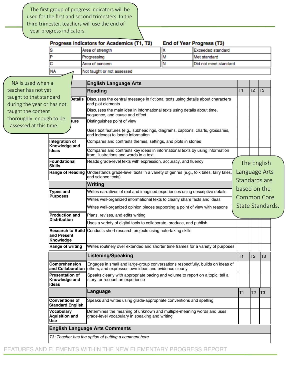The first group of progress indicators will be used for the first and second trimesters. In the third trimester, teachers will use the end of year progress indicators.

|                            |                                                                                                                                            |      | Progress Indicators for Academics (T1, T2)                                                                                              |                                                                          | End of Year Progress (T3) |                    |                |                  |  |
|----------------------------|--------------------------------------------------------------------------------------------------------------------------------------------|------|-----------------------------------------------------------------------------------------------------------------------------------------|--------------------------------------------------------------------------|---------------------------|--------------------|----------------|------------------|--|
|                            | s                                                                                                                                          |      | Area of strength                                                                                                                        | x<br><b>Exceeded standard</b>                                            |                           |                    |                |                  |  |
|                            | P                                                                                                                                          |      | Progressing                                                                                                                             | M                                                                        | Met standard              |                    |                |                  |  |
|                            | с                                                                                                                                          |      | Area of concern                                                                                                                         | Did not meet standard                                                    |                           |                    |                |                  |  |
|                            | NA                                                                                                                                         |      | Not taught or not assessed                                                                                                              |                                                                          |                           |                    |                |                  |  |
| NA is used when a          |                                                                                                                                            |      | <b>English Language Arts</b>                                                                                                            |                                                                          |                           |                    |                |                  |  |
| teacher has not yet        | <b>Details</b>                                                                                                                             |      | <b>Reading</b>                                                                                                                          |                                                                          |                           |                    |                | IT <sub>3</sub>  |  |
| taught to that standard    |                                                                                                                                            |      |                                                                                                                                         | T <sub>1</sub>                                                           | T <sub>2</sub>            |                    |                |                  |  |
| during the year or has not |                                                                                                                                            |      | Discusses the central message in fictional texts using details about characters<br>and plot elements                                    |                                                                          |                           |                    |                |                  |  |
| taught the content         |                                                                                                                                            |      |                                                                                                                                         | Discusses the main idea in informational texts using details about time, |                           |                    |                |                  |  |
| thoroughly enough to be    |                                                                                                                                            |      | sequence, and cause and effect                                                                                                          |                                                                          |                           |                    |                |                  |  |
| assessed at this time.     |                                                                                                                                            | ture | Distinguishes point of view                                                                                                             |                                                                          |                           |                    |                |                  |  |
|                            |                                                                                                                                            |      | Uses text features (e.g., subheadings, diagrams, captions, charts, glossaries,<br>and indexes) to locate information                    |                                                                          |                           |                    |                |                  |  |
|                            | Integration of                                                                                                                             |      | Compares and contrasts themes, settings, and plots in stories                                                                           |                                                                          |                           |                    |                |                  |  |
|                            | Knowledge and<br>Ideas                                                                                                                     |      | Compares and contrasts key ideas in informational texts by using information<br>from illustrations and words in a text.                 |                                                                          |                           |                    |                |                  |  |
|                            | <b>Foundational</b><br><b>Skills</b>                                                                                                       |      | Reads grade-level texts with expression, accuracy, and fluency                                                                          |                                                                          |                           |                    |                | The English      |  |
|                            | <b>Range of Reading</b>                                                                                                                    |      | Understands grade-level texts in a variety of genres (e.g., folk tales, fairy tales,<br>and science texts)                              | Language Arts<br>Standards are                                           |                           |                    |                |                  |  |
|                            | <b>Types and</b><br><b>Purposes</b>                                                                                                        |      | Writing                                                                                                                                 |                                                                          |                           |                    |                |                  |  |
|                            |                                                                                                                                            |      | Writes narratives of real and imagined experiences using descriptive details                                                            |                                                                          |                           | based on the       |                |                  |  |
|                            |                                                                                                                                            |      | Writes well-organized informational texts to clearly share facts and ideas                                                              |                                                                          |                           | <b>Common Core</b> |                |                  |  |
|                            |                                                                                                                                            |      | Writes well-organized opinion pieces supporting a point of view with reasons                                                            |                                                                          |                           |                    |                | State Standards. |  |
|                            | <b>Production and</b>                                                                                                                      |      | Plans, revises, and edits writing                                                                                                       |                                                                          |                           |                    |                |                  |  |
|                            | <b>Distribution</b>                                                                                                                        |      | Uses a variety of digital tools to collaborate, produce, and publish                                                                    |                                                                          |                           |                    |                |                  |  |
|                            | land Present<br>Knowledge                                                                                                                  |      | Research to Build Conducts short research projects using note-taking skills                                                             |                                                                          |                           |                    |                |                  |  |
|                            | <b>Range of writing</b>                                                                                                                    |      | Writes routinely over extended and shorter time frames for a variety of purposes                                                        |                                                                          |                           |                    |                |                  |  |
|                            |                                                                                                                                            |      | <b>Listening/Speaking</b>                                                                                                               |                                                                          |                           | T1                 | T <sub>2</sub> | lT3              |  |
|                            | Comprehension<br>and Collaboration<br><b>Presentation of</b><br>Knowledge and<br>Ideas<br><b>Conventions of</b><br><b>Standard English</b> |      | Engages in small and large-group conversations respectfully, builds on ideas of<br>others, and expresses own ideas and evidence clearly |                                                                          |                           |                    |                |                  |  |
|                            |                                                                                                                                            |      | Speaks clearly with appropriate pacing and volume to report on a topic, tell a<br>story, or recount an experience                       |                                                                          |                           |                    |                |                  |  |
|                            |                                                                                                                                            |      | Language                                                                                                                                |                                                                          |                           | T1                 | T <sub>2</sub> | T <sub>3</sub>   |  |
|                            |                                                                                                                                            |      | Speaks and writes using grade-appropriate conventions and spelling                                                                      |                                                                          |                           |                    |                |                  |  |
|                            | <b>Vocabulary</b><br><b>Aquisition and</b><br><b>Use</b>                                                                                   |      | Determines the meaning of unknown and multiple-meaning words and uses<br>grade-level vocabulary in speaking and writing                 |                                                                          |                           |                    |                |                  |  |
|                            |                                                                                                                                            |      | <b>English Language Arts Comments</b>                                                                                                   |                                                                          |                           |                    |                |                  |  |
|                            |                                                                                                                                            |      | T3: Teacher has the option of putting a comment here                                                                                    |                                                                          |                           |                    |                |                  |  |
|                            |                                                                                                                                            |      |                                                                                                                                         |                                                                          |                           |                    |                |                  |  |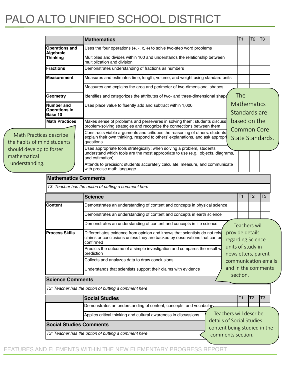## PALO ALTO UNIFIED SCHOOL DISTRICT

|                                                                                                                      |                                               | Mathematics                                                                                                                                                                                                         | T1                                   | T <sub>2</sub>                      | T <sub>3</sub> |  |  |  |  |  |
|----------------------------------------------------------------------------------------------------------------------|-----------------------------------------------|---------------------------------------------------------------------------------------------------------------------------------------------------------------------------------------------------------------------|--------------------------------------|-------------------------------------|----------------|--|--|--|--|--|
|                                                                                                                      | <b>Operations and</b><br>Algebraic            | Uses the four operations $(+, -, x, \div)$ to solve two-step word problems                                                                                                                                          |                                      |                                     |                |  |  |  |  |  |
|                                                                                                                      | <b>Thinking</b>                               | Multiplies and divides within 100 and understands the relationship between<br>multiplication and division                                                                                                           |                                      |                                     |                |  |  |  |  |  |
|                                                                                                                      | <b>Fractions</b>                              | Demonstrates understanding of fractions as numbers                                                                                                                                                                  |                                      |                                     |                |  |  |  |  |  |
|                                                                                                                      | <b>Measurement</b>                            | Measures and estimates time, length, volume, and weight using standard units                                                                                                                                        |                                      |                                     |                |  |  |  |  |  |
|                                                                                                                      |                                               | Measures and explains the area and perimeter of two-dimensional shapes                                                                                                                                              |                                      |                                     |                |  |  |  |  |  |
|                                                                                                                      | <b>Geometry</b>                               | Identifies and categorizes the attributes of two- and three-dimensional shape                                                                                                                                       | The                                  |                                     |                |  |  |  |  |  |
|                                                                                                                      | Number and<br><b>Operations in</b><br>Base 10 | Uses place value to fluently add and subtract within 1,000                                                                                                                                                          |                                      | <b>Mathematics</b><br>Standards are |                |  |  |  |  |  |
|                                                                                                                      | <b>Math Practices</b>                         | Makes sense of problems and perseveres in solving them: students discuss<br>problem-solving strategies and recognize the connections between them                                                                   | based on the                         |                                     |                |  |  |  |  |  |
| Math Practices describe<br>the habits of mind students<br>should develop to foster<br>mathematical<br>understanding. |                                               | <b>Common Core</b><br>Constructs viable arguments and critiques the reasoning of others: students<br>explain their own thinking, respond to others' explanations, and ask appropri<br>State Standards.<br>questions |                                      |                                     |                |  |  |  |  |  |
|                                                                                                                      |                                               | Uses appropriate tools strategically: when solving a problem, students<br>understand which tools are the most appropriate to use (e.g., objects, diagrams,<br>and estimation)                                       |                                      |                                     |                |  |  |  |  |  |
|                                                                                                                      |                                               | Attends to precision: students accurately calculate, measure, and communicate<br>with precise math language                                                                                                         |                                      |                                     |                |  |  |  |  |  |
|                                                                                                                      | <b>Mathematics Comments</b>                   |                                                                                                                                                                                                                     |                                      |                                     |                |  |  |  |  |  |
|                                                                                                                      |                                               | T3: Teacher has the option of putting a comment here                                                                                                                                                                |                                      |                                     |                |  |  |  |  |  |
|                                                                                                                      |                                               | <b>Science</b>                                                                                                                                                                                                      | T <sub>1</sub>                       | T <sub>2</sub>                      | T <sub>3</sub> |  |  |  |  |  |
|                                                                                                                      | <b>Content</b>                                | Demonstrates an understanding of content and concepts in physical science                                                                                                                                           |                                      |                                     |                |  |  |  |  |  |
|                                                                                                                      |                                               | Demonstrates an understanding of content and concepts in earth science                                                                                                                                              |                                      |                                     |                |  |  |  |  |  |
|                                                                                                                      |                                               | Demonstrates an understanding of content and concepts in life science                                                                                                                                               | <b>Teachers will</b>                 |                                     |                |  |  |  |  |  |
|                                                                                                                      | <b>Process Skills</b>                         | Differentiates evidence from opinion and knows that scientists do not rely<br>claims or conclusions unless they are backed by observations that can be<br>confirmed                                                 | provide details<br>regarding Science |                                     |                |  |  |  |  |  |

| <b>Process Skills</b>                                | Differentiates evidence from opinion and knows that scientists do not rely<br>claims or conclusions unless they are backed by observations that can be<br>confirmed |                                                           | provide details<br>regarding Science |                                                                  |                |                |  |  |
|------------------------------------------------------|---------------------------------------------------------------------------------------------------------------------------------------------------------------------|-----------------------------------------------------------|--------------------------------------|------------------------------------------------------------------|----------------|----------------|--|--|
|                                                      | Predicts the outcome of a simple investigation and compares the result w<br>prediction                                                                              |                                                           |                                      | units of study in<br>newsletters, parent<br>communication emails |                |                |  |  |
|                                                      | Collects and analyzes data to draw conclusions                                                                                                                      |                                                           |                                      |                                                                  |                |                |  |  |
|                                                      | Understands that scientists support their claims with evidence                                                                                                      |                                                           | and in the comments<br>section.      |                                                                  |                |                |  |  |
| <b>Science Comments</b>                              |                                                                                                                                                                     |                                                           |                                      |                                                                  |                |                |  |  |
|                                                      | T3: Teacher has the option of putting a comment here                                                                                                                |                                                           |                                      |                                                                  |                |                |  |  |
|                                                      | <b>Social Studies</b>                                                                                                                                               |                                                           |                                      | T <sub>1</sub>                                                   | T <sub>2</sub> | T <sub>3</sub> |  |  |
|                                                      | Demonstrates an understanding of content, concepts, and vocabulary                                                                                                  |                                                           |                                      |                                                                  |                |                |  |  |
|                                                      | Applies critical thinking and cultural awareness in discussions                                                                                                     | Teachers will describe                                    |                                      |                                                                  |                |                |  |  |
| <b>Social Studies Comments</b>                       |                                                                                                                                                                     | details of Social Studies<br>content being studied in the |                                      |                                                                  |                |                |  |  |
| T3: Teacher has the option of putting a comment here |                                                                                                                                                                     | comments section.                                         |                                      |                                                                  |                |                |  |  |

FEATURES AND ELEMENTS WITHIN THE NEW ELEMENTARY PROGRESS REPORT